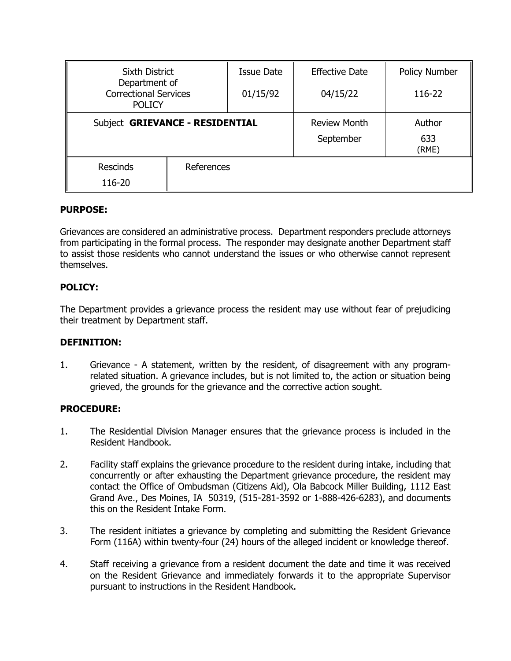| <b>Sixth District</b>                                          |            | Issue Date | <b>Effective Date</b> | Policy Number |
|----------------------------------------------------------------|------------|------------|-----------------------|---------------|
| Department of<br><b>Correctional Services</b><br><b>POLICY</b> |            | 01/15/92   | 04/15/22              | 116-22        |
| Subject GRIEVANCE - RESIDENTIAL                                |            |            | <b>Review Month</b>   | Author        |
|                                                                |            |            | September             | 633<br>(RME)  |
| <b>Rescinds</b>                                                | References |            |                       |               |
| 116-20                                                         |            |            |                       |               |

# **PURPOSE:**

Grievances are considered an administrative process. Department responders preclude attorneys from participating in the formal process. The responder may designate another Department staff to assist those residents who cannot understand the issues or who otherwise cannot represent themselves.

# **POLICY:**

The Department provides a grievance process the resident may use without fear of prejudicing their treatment by Department staff.

### **DEFINITION:**

1. Grievance - A statement, written by the resident, of disagreement with any programrelated situation. A grievance includes, but is not limited to, the action or situation being grieved, the grounds for the grievance and the corrective action sought.

### **PROCEDURE:**

- 1. The Residential Division Manager ensures that the grievance process is included in the Resident Handbook.
- 2. Facility staff explains the grievance procedure to the resident during intake, including that concurrently or after exhausting the Department grievance procedure, the resident may contact the Office of Ombudsman (Citizens Aid), Ola Babcock Miller Building, 1112 East Grand Ave., Des Moines, IA 50319, (515-281-3592 or 1-888-426-6283), and documents this on the Resident Intake Form.
- 3. The resident initiates a grievance by completing and submitting the Resident Grievance Form (116A) within twenty-four (24) hours of the alleged incident or knowledge thereof.
- 4. Staff receiving a grievance from a resident document the date and time it was received on the Resident Grievance and immediately forwards it to the appropriate Supervisor pursuant to instructions in the Resident Handbook.